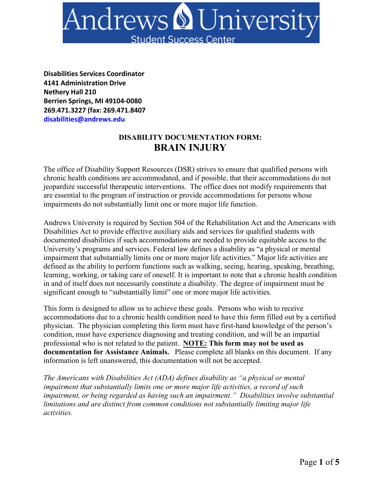

**Disabilities Services Coordinator 4141 Administration Drive Nethery Hall 210 Berrien Springs, MI 49104-0080 269.471.3227 (fax: 269.471.8407 disabilities@andrews.edu**

## **DISABILITY DOCUMENTATION FORM: BRAIN INJURY**

The office of Disability Support Resources (DSR) strives to ensure that qualified persons with chronic health conditions are accommodated, and if possible, that their accommodations do not jeopardize successful therapeutic interventions. The office does not modify requirements that are essential to the program of instruction or provide accommodations for persons whose impairments do not substantially limit one or more major life function.

Andrews University is required by Section 504 of the Rehabilitation Act and the Americans with Disabilities Act to provide effective auxiliary aids and services for qualified students with documented disabilities if such accommodations are needed to provide equitable access to the University's programs and services. Federal law defines a disability as "a physical or mental impairment that substantially limits one or more major life activities." Major life activities are defined as the ability to perform functions such as walking, seeing, hearing, speaking, breathing, learning, working, or taking care of oneself. It is important to note that a chronic health condition in and of itself does not necessarily constitute a disability. The degree of impairment must be significant enough to "substantially limit" one or more major life activities.

This form is designed to allow us to achieve these goals. Persons who wish to receive accommodations due to a chronic health condition need to have this form filled out by a certified physician. The physician completing this form must have first-hand knowledge of the person's condition, must have experience diagnosing and treating condition, and will be an impartial professional who is not related to the patient. **NOTE: This form may not be used as documentation for Assistance Animals.** Please complete all blanks on this document. If any information is left unanswered, this documentation will not be accepted.

*The Americans with Disabilities Act (ADA) defines disability as "a physical or mental impairment that substantially limits one or more major life activities, a record of such impairment, or being regarded as having such an impairment." Disabilities involve substantial limitations and are distinct from common conditions not substantially limiting major life activities.*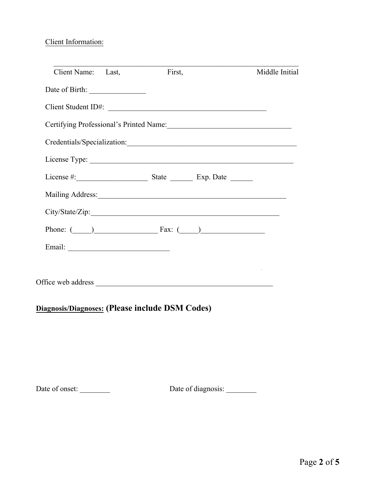#### Client Information:

| Client Name: Last,              | First, |                                                                         | Middle Initial |
|---------------------------------|--------|-------------------------------------------------------------------------|----------------|
|                                 |        |                                                                         |                |
| Client Student ID#:             |        |                                                                         |                |
|                                 |        |                                                                         |                |
|                                 |        |                                                                         |                |
|                                 |        |                                                                         |                |
|                                 |        |                                                                         |                |
|                                 |        |                                                                         |                |
|                                 |        |                                                                         |                |
| Phone: $\qquad)$ Fax: $\qquad)$ |        |                                                                         |                |
|                                 |        |                                                                         |                |
|                                 |        | <u> 1989 - Johann Stein, mars an t-Amerikaansk kommunister (* 1958)</u> |                |
|                                 |        |                                                                         |                |

# **Diagnosis/Diagnoses: (Please include DSM Codes)**

Date of onset: \_\_\_\_\_\_\_\_\_\_ Date of diagnosis: \_\_\_\_\_\_\_\_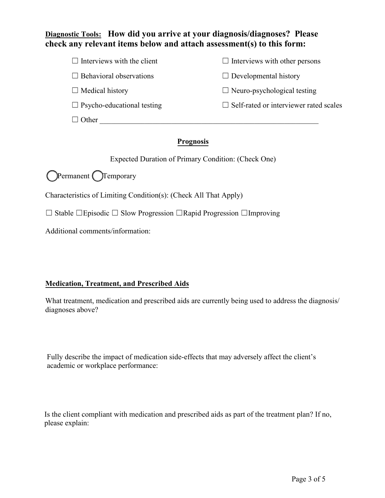## **Diagnostic Tools: How did you arrive at your diagnosis/diagnoses? Please check any relevant items below and attach assessment(s) to this form:**

| $\Box$ Interviews with the client | $\Box$ Interviews with other persons          |
|-----------------------------------|-----------------------------------------------|
| $\Box$ Behavioral observations    | $\Box$ Developmental history                  |
| $\Box$ Medical history            | $\Box$ Neuro-psychological testing            |
| $\Box$ Psycho-educational testing | $\Box$ Self-rated or interviewer rated scales |
| Other                             |                                               |

### **Prognosis**

Expected Duration of Primary Condition: (Check One)

☐Permanent ☐Temporary

Characteristics of Limiting Condition(s): (Check All That Apply)

☐ Stable ☐Episodic ☐ Slow Progression ☐Rapid Progression ☐Improving

Additional comments/information:

#### **Medication, Treatment, and Prescribed Aids**

What treatment, medication and prescribed aids are currently being used to address the diagnosis/ diagnoses above?

Fully describe the impact of medication side-effects that may adversely affect the client's academic or workplace performance:

Is the client compliant with medication and prescribed aids as part of the treatment plan? If no, please explain: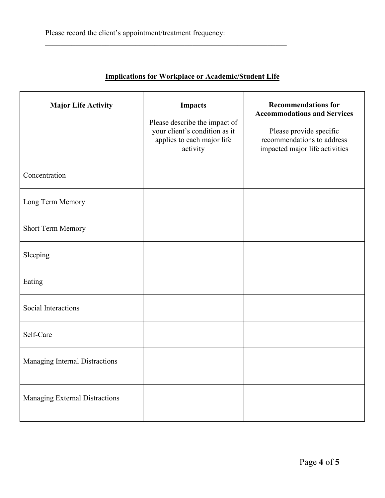|  | <b>Implications for Workplace or Academic/Student Life</b> |  |
|--|------------------------------------------------------------|--|
|  |                                                            |  |

 $\mathcal{L}_\text{max} = \mathcal{L}_\text{max} = \mathcal{L}_\text{max} = \mathcal{L}_\text{max} = \mathcal{L}_\text{max} = \mathcal{L}_\text{max} = \mathcal{L}_\text{max} = \mathcal{L}_\text{max} = \mathcal{L}_\text{max} = \mathcal{L}_\text{max} = \mathcal{L}_\text{max} = \mathcal{L}_\text{max} = \mathcal{L}_\text{max} = \mathcal{L}_\text{max} = \mathcal{L}_\text{max} = \mathcal{L}_\text{max} = \mathcal{L}_\text{max} = \mathcal{L}_\text{max} = \mathcal{$ 

| <b>Major Life Activity</b>     | <b>Impacts</b><br>Please describe the impact of<br>your client's condition as it<br>applies to each major life<br>activity | <b>Recommendations for</b><br><b>Accommodations and Services</b><br>Please provide specific<br>recommendations to address<br>impacted major life activities |
|--------------------------------|----------------------------------------------------------------------------------------------------------------------------|-------------------------------------------------------------------------------------------------------------------------------------------------------------|
| Concentration                  |                                                                                                                            |                                                                                                                                                             |
| Long Term Memory               |                                                                                                                            |                                                                                                                                                             |
| Short Term Memory              |                                                                                                                            |                                                                                                                                                             |
| Sleeping                       |                                                                                                                            |                                                                                                                                                             |
| Eating                         |                                                                                                                            |                                                                                                                                                             |
| Social Interactions            |                                                                                                                            |                                                                                                                                                             |
| Self-Care                      |                                                                                                                            |                                                                                                                                                             |
| Managing Internal Distractions |                                                                                                                            |                                                                                                                                                             |
| Managing External Distractions |                                                                                                                            |                                                                                                                                                             |